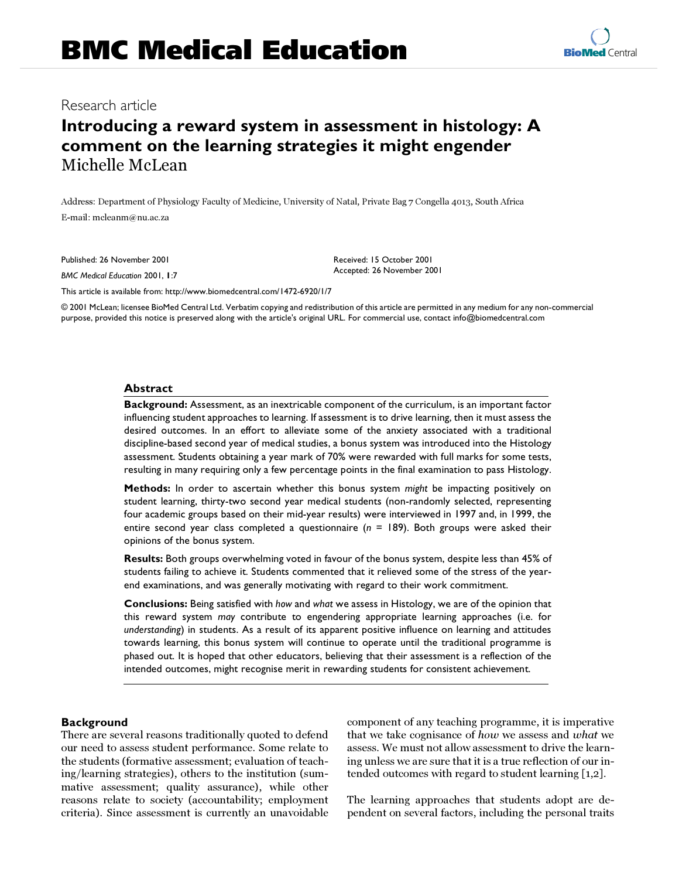# Research article

# **Introducing a reward system in assessment in histology: A comment on the learning strategies it might engender** Michelle McLean

Address: Department of Physiology Faculty of Medicine, University of Natal, Private Bag 7 Congella 4013, South Africa E-mail: mcleanm@nu.ac.za

Published: 26 November 2001

*BMC Medical Education* 2001, **1**:7

Received: 15 October 2001 Accepted: 26 November 2001

[This article is available from: http://www.biomedcentral.com/1472-6920/1/7](http://www.biomedcentral.com/1472-6920/1/7)

© 2001 McLean; licensee BioMed Central Ltd. Verbatim copying and redistribution of this article are permitted in any medium for any non-commercial purpose, provided this notice is preserved along with the article's original URL. For commercial use, contact info@biomedcentral.com

# **Abstract**

**Background:** Assessment, as an inextricable component of the curriculum, is an important factor influencing student approaches to learning. If assessment is to drive learning, then it must assess the desired outcomes. In an effort to alleviate some of the anxiety associated with a traditional discipline-based second year of medical studies, a bonus system was introduced into the Histology assessment. Students obtaining a year mark of 70% were rewarded with full marks for some tests, resulting in many requiring only a few percentage points in the final examination to pass Histology.

**Methods:** In order to ascertain whether this bonus system *might* be impacting positively on student learning, thirty-two second year medical students (non-randomly selected, representing four academic groups based on their mid-year results) were interviewed in 1997 and, in 1999, the entire second year class completed a questionnaire (*n* = 189). Both groups were asked their opinions of the bonus system.

**Results:** Both groups overwhelming voted in favour of the bonus system, despite less than 45% of students failing to achieve it. Students commented that it relieved some of the stress of the yearend examinations, and was generally motivating with regard to their work commitment.

**Conclusions:** Being satisfied with *how* and *what* we assess in Histology, we are of the opinion that this reward system *may* contribute to engendering appropriate learning approaches (i.e. for *understanding*) in students. As a result of its apparent positive influence on learning and attitudes towards learning, this bonus system will continue to operate until the traditional programme is phased out. It is hoped that other educators, believing that their assessment is a reflection of the intended outcomes, might recognise merit in rewarding students for consistent achievement.

# **Background**

<span id="page-0-0"></span>There are several reasons traditionally quoted to defend our need to assess student performance. Some relate to the students (formative assessment; evaluation of teaching/learning strategies), others to the institution (summative assessment; quality assurance), while other reasons relate to society (accountability; employment criteria). Since assessment is currently an unavoidable component of any teaching programme, it is imperative that we take cognisance of *how* we assess and *what* we assess. We must not allow assessment to drive the learning unless we are sure that it is a true reflection of our intended outcomes with regard to student learning [\[1,](#page-7-0)[2](#page-7-1)].

The learning approaches that students adopt are dependent on several factors, including the personal traits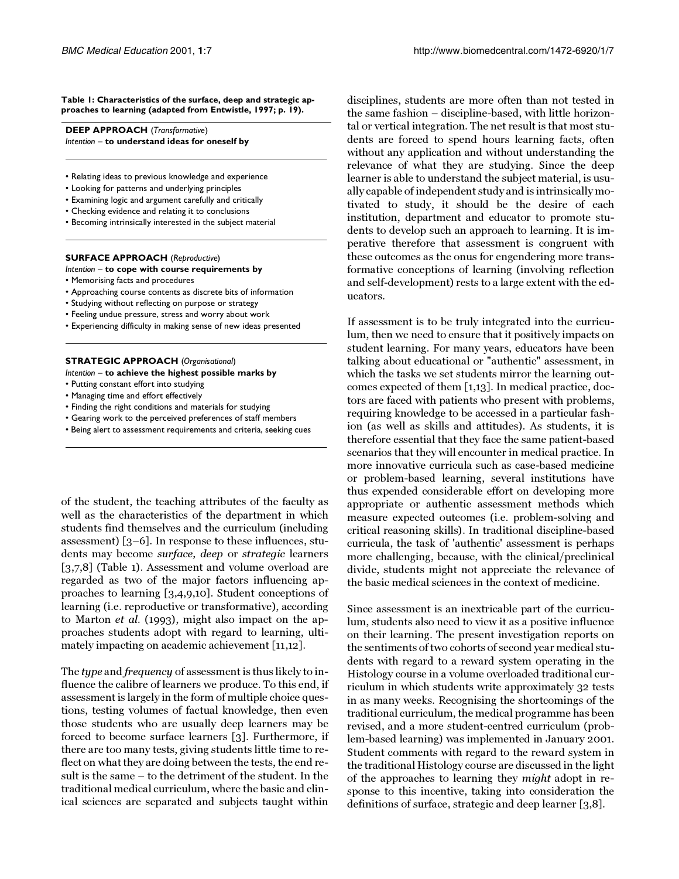**Table 1: Characteristics of the surface, deep and strategic approaches to learning (adapted from Entwistle, 1997; p. 19).**

**DEEP APPROACH** (*Transformative*) *Intention* – **to understand ideas for oneself by**

- Relating ideas to previous knowledge and experience
- Looking for patterns and underlying principles
- Examining logic and argument carefully and critically
- Checking evidence and relating it to conclusions
- Becoming intrinsically interested in the subject material

#### **SURFACE APPROACH** (*Reproductive*) *Intention* – **to cope with course requirements by**

- Memorising facts and procedures
- Approaching course contents as discrete bits of information
- Studying without reflecting on purpose or strategy
- Feeling undue pressure, stress and worry about work
- Experiencing difficulty in making sense of new ideas presented

**STRATEGIC APPROACH** (*Organisational*) *Intention* – **to achieve the highest possible marks by**

• Putting constant effort into studying

- Managing time and effort effectively
- Finding the right conditions and materials for studying
- Gearing work to the perceived preferences of staff members
- Being alert to assessment requirements and criteria, seeking cues

of the student, the teaching attributes of the faculty as well as the characteristics of the department in which students find themselves and the curriculum (including assessment) [\[3](#page-7-2)–[6](#page-7-3)]. In response to these influences, students may become surface, deep or strategic learners [[3](#page-7-2),[7](#page-7-4)[,8](#page-7-5)] (Table [1\)](#page-0-0). Assessment and volume overload are regarded as two of the major factors influencing approaches to learning [[3](#page-7-2),[4](#page-7-6)[,9](#page-7-7)[,10](#page-7-8)]. Student conceptions of learning (i.e. reproductive or transformative), according to Marton et al. (1993), might also impact on the approaches students adopt with regard to learning, ultimately impacting on academic achievement [[11](#page-7-9),[12](#page-7-10)].

The type and frequency of assessment is thus likely to influence the calibre of learners we produce. To this end, if assessment is largely in the form of multiple choice questions, testing volumes of factual knowledge, then even those students who are usually deep learners may be forced to become surface learners [[3](#page-7-2)]. Furthermore, if there are too many tests, giving students little time to reflect on what they are doing between the tests, the end result is the same – to the detriment of the student. In the traditional medical curriculum, where the basic and clinical sciences are separated and subjects taught within

disciplines, students are more often than not tested in the same fashion – discipline-based, with little horizontal or vertical integration. The net result is that most students are forced to spend hours learning facts, often without any application and without understanding the relevance of what they are studying. Since the deep learner is able to understand the subject material, is usually capable of independent study and is intrinsically motivated to study, it should be the desire of each institution, department and educator to promote students to develop such an approach to learning. It is imperative therefore that assessment is congruent with these outcomes as the onus for engendering more transformative conceptions of learning (involving reflection and self-development) rests to a large extent with the educators.

If assessment is to be truly integrated into the curriculum, then we need to ensure that it positively impacts on student learning. For many years, educators have been talking about educational or "authentic" assessment, in which the tasks we set students mirror the learning outcomes expected of them [\[1](#page-7-0)[,13\]](#page-7-11). In medical practice, doctors are faced with patients who present with problems, requiring knowledge to be accessed in a particular fashion (as well as skills and attitudes). As students, it is therefore essential that they face the same patient-based scenarios that they will encounter in medical practice. In more innovative curricula such as case-based medicine or problem-based learning, several institutions have thus expended considerable effort on developing more appropriate or authentic assessment methods which measure expected outcomes (i.e. problem-solving and critical reasoning skills). In traditional discipline-based curricula, the task of 'authentic' assessment is perhaps more challenging, because, with the clinical/preclinical divide, students might not appreciate the relevance of the basic medical sciences in the context of medicine.

Since assessment is an inextricable part of the curriculum, students also need to view it as a positive influence on their learning. The present investigation reports on the sentiments of two cohorts of second year medical students with regard to a reward system operating in the Histology course in a volume overloaded traditional curriculum in which students write approximately 32 tests in as many weeks. Recognising the shortcomings of the traditional curriculum, the medical programme has been revised, and a more student-centred curriculum (problem-based learning) was implemented in January 2001. Student comments with regard to the reward system in the traditional Histology course are discussed in the light of the approaches to learning they might adopt in response to this incentive, taking into consideration the definitions of surface, strategic and deep learner [\[3](#page-7-2),[8\]](#page-7-5).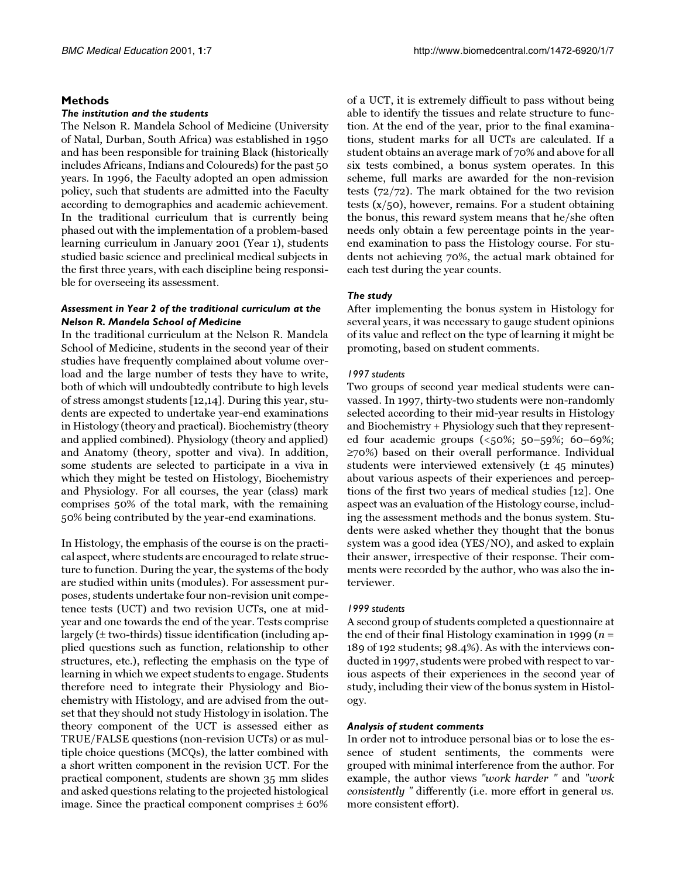### **Methods**

# *The institution and the students*

The Nelson R. Mandela School of Medicine (University of Natal, Durban, South Africa) was established in 1950 and has been responsible for training Black (historically includes Africans, Indians and Coloureds) for the past 50 years. In 1996, the Faculty adopted an open admission policy, such that students are admitted into the Faculty according to demographics and academic achievement. In the traditional curriculum that is currently being phased out with the implementation of a problem-based learning curriculum in January 2001 (Year 1), students studied basic science and preclinical medical subjects in the first three years, with each discipline being responsible for overseeing its assessment.

# *Assessment in Year 2 of the traditional curriculum at the Nelson R. Mandela School of Medicine*

In the traditional curriculum at the Nelson R. Mandela School of Medicine, students in the second year of their studies have frequently complained about volume overload and the large number of tests they have to write, both of which will undoubtedly contribute to high levels of stress amongst students [\[12](#page-7-10),[14\]](#page-7-12). During this year, students are expected to undertake year-end examinations in Histology (theory and practical). Biochemistry (theory and applied combined). Physiology (theory and applied) and Anatomy (theory, spotter and viva). In addition, some students are selected to participate in a viva in which they might be tested on Histology, Biochemistry and Physiology. For all courses, the year (class) mark comprises 50% of the total mark, with the remaining 50% being contributed by the year-end examinations.

In Histology, the emphasis of the course is on the practical aspect, where students are encouraged to relate structure to function. During the year, the systems of the body are studied within units (modules). For assessment purposes, students undertake four non-revision unit competence tests (UCT) and two revision UCTs, one at midyear and one towards the end of the year. Tests comprise largely (± two-thirds) tissue identification (including applied questions such as function, relationship to other structures, etc.), reflecting the emphasis on the type of learning in which we expect students to engage. Students therefore need to integrate their Physiology and Biochemistry with Histology, and are advised from the outset that they should not study Histology in isolation. The theory component of the UCT is assessed either as TRUE/FALSE questions (non-revision UCTs) or as multiple choice questions (MCQs), the latter combined with a short written component in the revision UCT. For the practical component, students are shown 35 mm slides and asked questions relating to the projected histological image. Since the practical component comprises  $\pm$  60%

of a UCT, it is extremely difficult to pass without being able to identify the tissues and relate structure to function. At the end of the year, prior to the final examinations, student marks for all UCTs are calculated. If a student obtains an average mark of 70% and above for all six tests combined, a bonus system operates. In this scheme, full marks are awarded for the non-revision tests (72/72). The mark obtained for the two revision tests  $(x/50)$ , however, remains. For a student obtaining the bonus, this reward system means that he/she often needs only obtain a few percentage points in the yearend examination to pass the Histology course. For students not achieving 70%, the actual mark obtained for each test during the year counts.

# *The study*

After implementing the bonus system in Histology for several years, it was necessary to gauge student opinions of its value and reflect on the type of learning it might be promoting, based on student comments.

#### *1997 students*

Two groups of second year medical students were canvassed. In 1997, thirty-two students were non-randomly selected according to their mid-year results in Histology and Biochemistry + Physiology such that they represented four academic groups (<50%; 50–59%; 60–69%; ≥70%) based on their overall performance. Individual students were interviewed extensively  $(\pm 45 \text{ minutes})$ about various aspects of their experiences and perceptions of the first two years of medical studies [\[12](#page-7-10)]. One aspect was an evaluation of the Histology course, including the assessment methods and the bonus system. Students were asked whether they thought that the bonus system was a good idea (YES/NO), and asked to explain their answer, irrespective of their response. Their comments were recorded by the author, who was also the interviewer.

#### *1999 students*

A second group of students completed a questionnaire at the end of their final Histology examination in 1999 ( $n=$ 189 of 192 students; 98.4%). As with the interviews conducted in 1997, students were probed with respect to various aspects of their experiences in the second year of study, including their view of the bonus system in Histology.

# *Analysis of student comments*

In order not to introduce personal bias or to lose the essence of student sentiments, the comments were grouped with minimal interference from the author. For example, the author views "work harder " and "work consistently " differently (i.e. more effort in general vs. more consistent effort).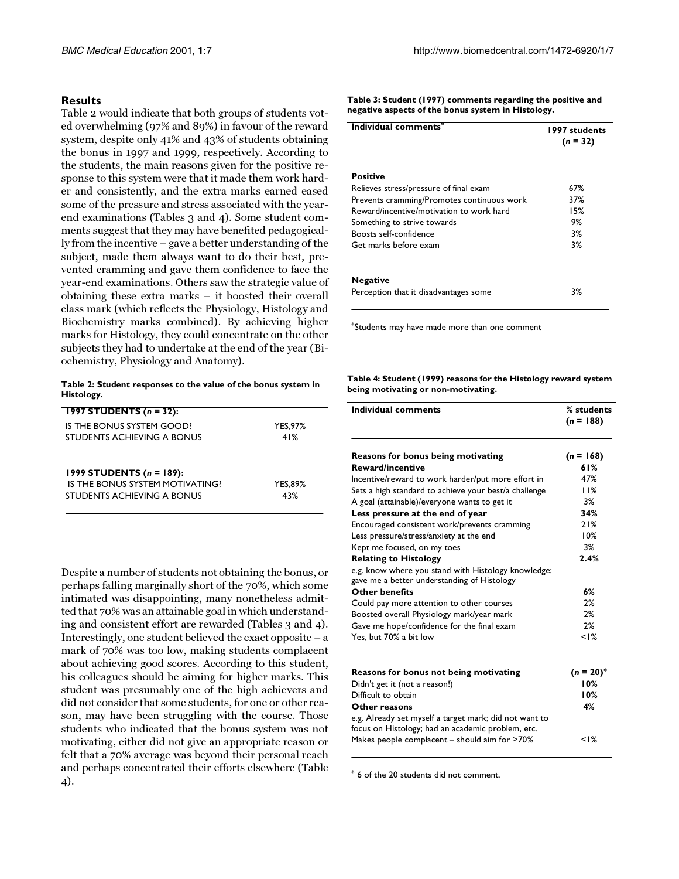# **Results**

<span id="page-3-0"></span>Table [2](#page-3-0) would indicate that both groups of students voted overwhelming (97% and 89%) in favour of the reward system, despite only 41% and 43% of students obtaining the bonus in 1997 and 1999, respectively. According to the students, the main reasons given for the positive response to this system were that it made them work harder and consistently, and the extra marks earned eased some of the pressure and stress associated with the yearend examinations (Tables [3](#page-3-1) and [4\)](#page-3-1). Some student comments suggest that they may have benefited pedagogically from the incentive – gave a better understanding of the subject, made them always want to do their best, prevented cramming and gave them confidence to face the year-end examinations. Others saw the strategic value of obtaining these extra marks – it boosted their overall class mark (which reflects the Physiology, Histology and Biochemistry marks combined). By achieving higher marks for Histology, they could concentrate on the other subjects they had to undertake at the end of the year (Biochemistry, Physiology and Anatomy).

**Table 2: Student responses to the value of the bonus system in Histology.**

| $1997$ STUDENTS ( $n = 32$ ):                                                                |                       |
|----------------------------------------------------------------------------------------------|-----------------------|
| IS THE BONUS SYSTEM GOOD?                                                                    | <b>YES,97%</b>        |
| STUDENTS ACHIEVING A BONUS                                                                   | 41%                   |
| 1999 STUDENTS $(n = 189)$ :<br>IS THE BONUS SYSTEM MOTIVATING?<br>STUDENTS ACHIEVING A BONUS | <b>YES.89%</b><br>43% |
|                                                                                              |                       |

<span id="page-3-1"></span>Despite a number of students not obtaining the bonus, or perhaps falling marginally short of the 70%, which some intimated was disappointing, many nonetheless admitted that 70% was an attainable goal in which understanding and consistent effort are rewarded (Tables [3](#page-3-1) and [4\)](#page-3-1). Interestingly, one student believed the exact opposite  $-$  a mark of 70% was too low, making students complacent about achieving good scores. According to this student, his colleagues should be aiming for higher marks. This student was presumably one of the high achievers and did not consider that some students, for one or other reason, may have been struggling with the course. Those students who indicated that the bonus system was not motivating, either did not give an appropriate reason or felt that a 70% average was beyond their personal reach and perhaps concentrated their efforts elsewhere (Table [4\)](#page-3-1).

**Table 3: Student (1997) comments regarding the positive and negative aspects of the bonus system in Histology.**

| Individual comments                        | 1997 students<br>$(n = 32)$ |
|--------------------------------------------|-----------------------------|
| Positive                                   |                             |
| Relieves stress/pressure of final exam     | 67%                         |
| Prevents cramming/Promotes continuous work | 37%                         |
| Reward/incentive/motivation to work hard   | 15%                         |
| Something to strive towards                | 9%                          |
| Boosts self-confidence                     | 3%                          |
| Get marks before exam                      | 3%                          |
| Negative                                   |                             |
| Perception that it disadvantages some      | 3%                          |

\*Students may have made more than one comment

**Table 4: Student (1999) reasons for the Histology reward system being motivating or non-motivating.**

| Individual comments                                                                                         | % students<br>$(n = 188)$ |
|-------------------------------------------------------------------------------------------------------------|---------------------------|
| Reasons for bonus being motivating                                                                          | $(n = 168)$               |
| <b>Reward/incentive</b>                                                                                     | 61%                       |
| Incentive/reward to work harder/put more effort in                                                          | 47%                       |
| Sets a high standard to achieve your best/a challenge                                                       | 11%                       |
| A goal (attainable)/everyone wants to get it                                                                | 3%                        |
| Less pressure at the end of year                                                                            | 34%                       |
| Encouraged consistent work/prevents cramming                                                                | 21%                       |
| Less pressure/stress/anxiety at the end                                                                     | 10%                       |
| Kept me focused, on my toes                                                                                 | 3%                        |
| <b>Relating to Histology</b>                                                                                | 2.4%                      |
| e.g. know where you stand with Histology knowledge;<br>gave me a better understanding of Histology          |                           |
| <b>Other benefits</b>                                                                                       | 6%                        |
| Could pay more attention to other courses                                                                   | 2%                        |
| Boosted overall Physiology mark/year mark                                                                   | 2%                        |
| Gave me hope/confidence for the final exam                                                                  | 2%                        |
| Yes, but 70% a bit low                                                                                      | $<$ l%                    |
| Reasons for bonus not being motivating                                                                      | $(n = 20)^{*}$            |
| Didn't get it (not a reason!)                                                                               | 10%                       |
| Difficult to obtain                                                                                         | 10%                       |
| Other reasons                                                                                               | 4%                        |
| e.g. Already set myself a target mark; did not want to<br>focus on Histology; had an academic problem, etc. |                           |
| Makes people complacent – should aim for >70%                                                               | $<$ l%                    |

\* 6 of the 20 students did not comment.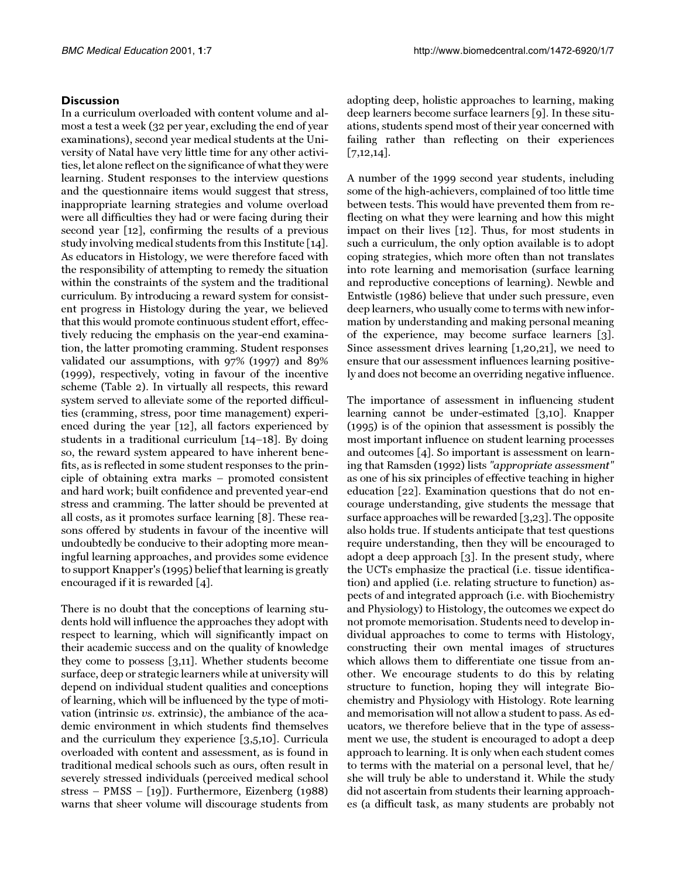# **Discussion**

In a curriculum overloaded with content volume and almost a test a week (32 per year, excluding the end of year examinations), second year medical students at the University of Natal have very little time for any other activities, let alone reflect on the significance of what they were learning. Student responses to the interview questions and the questionnaire items would suggest that stress, inappropriate learning strategies and volume overload were all difficulties they had or were facing during their second year [\[12](#page-7-10)], confirming the results of a previous study involving medical students from this Institute [\[14\]](#page-7-12). As educators in Histology, we were therefore faced with the responsibility of attempting to remedy the situation within the constraints of the system and the traditional curriculum. By introducing a reward system for consistent progress in Histology during the year, we believed that this would promote continuous student effort, effectively reducing the emphasis on the year-end examination, the latter promoting cramming. Student responses validated our assumptions, with 97% (1997) and 89% (1999), respectively, voting in favour of the incentive scheme (Table [2\)](#page-3-0). In virtually all respects, this reward system served to alleviate some of the reported difficulties (cramming, stress, poor time management) experienced during the year [[12](#page-7-10)], all factors experienced by students in a traditional curriculum [\[14–](#page-7-12)[18\]](#page-7-13). By doing so, the reward system appeared to have inherent benefits, as is reflected in some student responses to the principle of obtaining extra marks – promoted consistent and hard work; built confidence and prevented year-end stress and cramming. The latter should be prevented at all costs, as it promotes surface learning [[8\]](#page-7-5). These reasons offered by students in favour of the incentive will undoubtedly be conducive to their adopting more meaningful learning approaches, and provides some evidence to support Knapper's (1995) belief that learning is greatly encouraged if it is rewarded [\[4\]](#page-7-6).

There is no doubt that the conceptions of learning students hold will influence the approaches they adopt with respect to learning, which will significantly impact on their academic success and on the quality of knowledge they come to possess [\[3](#page-7-2)[,11\]](#page-7-9). Whether students become surface, deep or strategic learners while at university will depend on individual student qualities and conceptions of learning, which will be influenced by the type of motivation (intrinsic vs. extrinsic), the ambiance of the academic environment in which students find themselves and the curriculum they experience [[3](#page-7-2),[5](#page-7-14),[10\]](#page-7-8). Curricula overloaded with content and assessment, as is found in traditional medical schools such as ours, often result in severely stressed individuals (perceived medical school stress – PMSS – [\[19\]](#page-7-15)). Furthermore, Eizenberg (1988) warns that sheer volume will discourage students from

adopting deep, holistic approaches to learning, making deep learners become surface learners [\[9\]](#page-7-7). In these situations, students spend most of their year concerned with failing rather than reflecting on their experiences  $[7,12,14]$  $[7,12,14]$  $[7,12,14]$  $[7,12,14]$  $[7,12,14]$ .

A number of the 1999 second year students, including some of the high-achievers, complained of too little time between tests. This would have prevented them from reflecting on what they were learning and how this might impact on their lives [\[12\]](#page-7-10). Thus, for most students in such a curriculum, the only option available is to adopt coping strategies, which more often than not translates into rote learning and memorisation (surface learning and reproductive conceptions of learning). Newble and Entwistle (1986) believe that under such pressure, even deep learners, who usually come to terms with new information by understanding and making personal meaning of the experience, may become surface learners [\[3\]](#page-7-2). Since assessment drives learning [\[1](#page-7-0)[,20](#page-7-16)[,21\]](#page-7-17), we need to ensure that our assessment influences learning positively and does not become an overriding negative influence.

The importance of assessment in influencing student learning cannot be under-estimated [[3,](#page-7-2)[10\]](#page-7-8). Knapper (1995) is of the opinion that assessment is possibly the most important influence on student learning processes and outcomes [[4](#page-7-6)]. So important is assessment on learning that Ramsden (1992) lists "appropriate assessment" as one of his six principles of effective teaching in higher education [[22](#page-7-18)]. Examination questions that do not encourage understanding, give students the message that surface approaches will be rewarded [\[3](#page-7-2)[,23](#page-7-19)]. The opposite also holds true. If students anticipate that test questions require understanding, then they will be encouraged to adopt a deep approach [\[3\]](#page-7-2). In the present study, where the UCTs emphasize the practical (i.e. tissue identification) and applied (i.e. relating structure to function) aspects of and integrated approach (i.e. with Biochemistry and Physiology) to Histology, the outcomes we expect do not promote memorisation. Students need to develop individual approaches to come to terms with Histology, constructing their own mental images of structures which allows them to differentiate one tissue from another. We encourage students to do this by relating structure to function, hoping they will integrate Biochemistry and Physiology with Histology. Rote learning and memorisation will not allow a student to pass. As educators, we therefore believe that in the type of assessment we use, the student is encouraged to adopt a deep approach to learning. It is only when each student comes to terms with the material on a personal level, that he/ she will truly be able to understand it. While the study did not ascertain from students their learning approaches (a difficult task, as many students are probably not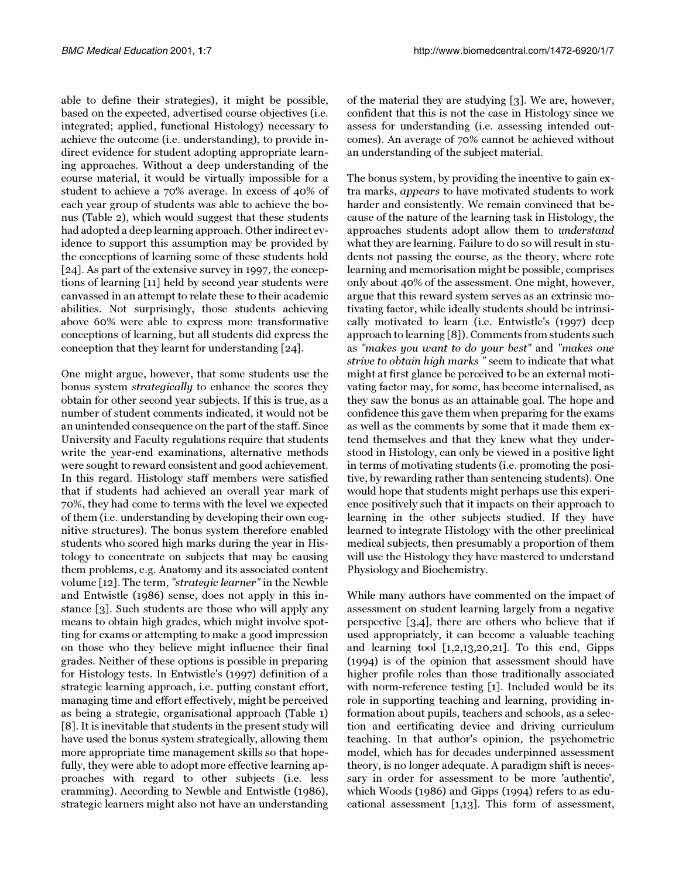able to define their strategies), it might be possible, based on the expected, advertised course objectives (i.e. integrated; applied, functional Histology) necessary to achieve the outcome (i.e. understanding), to provide indirect evidence for student adopting appropriate learning approaches. Without a deep understanding of the course material, it would be virtually impossible for a student to achieve a 70% average. In excess of 40% of each year group of students was able to achieve the bonus (Table [2](#page-3-0)), which would suggest that these students had adopted a deep learning approach. Other indirect evidence to support this assumption may be provided by the conceptions of learning some of these students hold [[24\]](#page-7-20). As part of the extensive survey in 1997, the conceptions of learning [[11](#page-7-9)] held by second year students were canvassed in an attempt to relate these to their academic abilities. Not surprisingly, those students achieving above 60% were able to express more transformative conceptions of learning, but all students did express the conception that they learnt for understanding [\[24\]](#page-7-20).

One might argue, however, that some students use the bonus system strategically to enhance the scores they obtain for other second year subjects. If this is true, as a number of student comments indicated, it would not be an unintended consequence on the part of the staff. Since University and Faculty regulations require that students write the year-end examinations, alternative methods were sought to reward consistent and good achievement. In this regard. Histology staff members were satisfied that if students had achieved an overall year mark of 70%, they had come to terms with the level we expected of them (i.e. understanding by developing their own cognitive structures). The bonus system therefore enabled students who scored high marks during the year in Histology to concentrate on subjects that may be causing them problems, e.g. Anatomy and its associated content volume [[12](#page-7-10)]. The term, "strategic learner" in the Newble and Entwistle (1986) sense, does not apply in this instance [[3](#page-7-2)]. Such students are those who will apply any means to obtain high grades, which might involve spotting for exams or attempting to make a good impression on those who they believe might influence their final grades. Neither of these options is possible in preparing for Histology tests. In Entwistle's (1997) definition of a strategic learning approach, i.e. putting constant effort, managing time and effort effectively, might be perceived as being a strategic, organisational approach (Table [1](#page-0-0)) [[8\]](#page-7-5). It is inevitable that students in the present study will have used the bonus system strategically, allowing them more appropriate time management skills so that hopefully, they were able to adopt more effective learning approaches with regard to other subjects (i.e. less cramming). According to Newble and Entwistle (1986), strategic learners might also not have an understanding

of the material they are studying [\[3\]](#page-7-2). We are, however, confident that this is not the case in Histology since we assess for understanding (i.e. assessing intended outcomes). An average of 70% cannot be achieved without an understanding of the subject material.

The bonus system, by providing the incentive to gain extra marks, appears to have motivated students to work harder and consistently. We remain convinced that because of the nature of the learning task in Histology, the approaches students adopt allow them to understand what they are learning. Failure to do so will result in students not passing the course, as the theory, where rote learning and memorisation might be possible, comprises only about 40% of the assessment. One might, however, argue that this reward system serves as an extrinsic motivating factor, while ideally students should be intrinsically motivated to learn (i.e. Entwistle's (1997) deep approach to learning [[8\]](#page-7-5)). Comments from students such as "makes you want to do your best" and "makes one strive to obtain high marks " seem to indicate that what might at first glance be perceived to be an external motivating factor may, for some, has become internalised, as they saw the bonus as an attainable goal. The hope and confidence this gave them when preparing for the exams as well as the comments by some that it made them extend themselves and that they knew what they understood in Histology, can only be viewed in a positive light in terms of motivating students (i.e. promoting the positive, by rewarding rather than sentencing students). One would hope that students might perhaps use this experience positively such that it impacts on their approach to learning in the other subjects studied. If they have learned to integrate Histology with the other preclinical medical subjects, then presumably a proportion of them will use the Histology they have mastered to understand Physiology and Biochemistry.

<span id="page-5-0"></span>While many authors have commented on the impact of assessment on student learning largely from a negative perspective [[3](#page-7-2)[,4](#page-7-6)], there are others who believe that if used appropriately, it can become a valuable teaching and learning tool [[1](#page-7-0)[,2,](#page-7-1)[13](#page-7-11),[20](#page-7-16)[,21](#page-7-17)]. To this end, Gipps (1994) is of the opinion that assessment should have higher profile roles than those traditionally associated with norm-reference testing [[1\]](#page-7-0). Included would be its role in supporting teaching and learning, providing information about pupils, teachers and schools, as a selection and certificating device and driving curriculum teaching. In that author's opinion, the psychometric model, which has for decades underpinned assessment theory, is no longer adequate. A paradigm shift is necessary in order for assessment to be more 'authentic', which Woods (1986) and Gipps (1994) refers to as educational assessment [\[1](#page-7-0)[,13\]](#page-7-11). This form of assessment,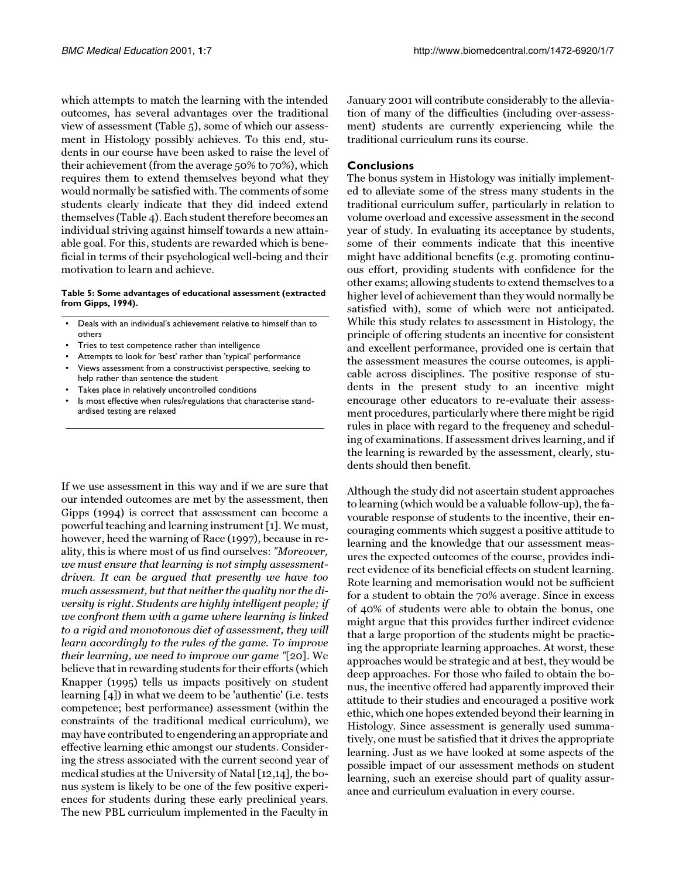which attempts to match the learning with the intended outcomes, has several advantages over the traditional view of assessment (Table [5](#page-5-0)), some of which our assessment in Histology possibly achieves. To this end, students in our course have been asked to raise the level of their achievement (from the average 50% to 70%), which requires them to extend themselves beyond what they would normally be satisfied with. The comments of some students clearly indicate that they did indeed extend themselves (Table [4](#page-3-1)). Each student therefore becomes an individual striving against himself towards a new attainable goal. For this, students are rewarded which is beneficial in terms of their psychological well-being and their motivation to learn and achieve.

#### **Table 5: Some advantages of educational assessment (extracted from Gipps, 1994).**

- Deals with an individual's achievement relative to himself than to others
- Tries to test competence rather than intelligence
- Attempts to look for 'best' rather than 'typical' performance
- Views assessment from a constructivist perspective, seeking to help rather than sentence the student
- Takes place in relatively uncontrolled conditions
- Is most effective when rules/regulations that characterise standardised testing are relaxed

If we use assessment in this way and if we are sure that our intended outcomes are met by the assessment, then Gipps (1994) is correct that assessment can become a powerful teaching and learning instrument [\[1](#page-7-0)]. We must, however, heed the warning of Race (1997), because in reality, this is where most of us find ourselves: "Moreover, we must ensure that learning is not simply assessmentdriven. It can be argued that presently we have too much assessment, but that neither the quality nor the diversity is right. Students are highly intelligent people; if we confront them with a game where learning is linked to a rigid and monotonous diet of assessment, they will learn accordingly to the rules of the game. To improve their learning, we need to improve our game "[[20\]](#page-7-16). We believe that in rewarding students for their efforts (which Knapper (1995) tells us impacts positively on student learning [[4](#page-7-6)]) in what we deem to be 'authentic' (i.e. tests competence; best performance) assessment (within the constraints of the traditional medical curriculum), we may have contributed to engendering an appropriate and effective learning ethic amongst our students. Considering the stress associated with the current second year of medical studies at the University of Natal [[12](#page-7-10)[,14\]](#page-7-12), the bonus system is likely to be one of the few positive experiences for students during these early preclinical years. The new PBL curriculum implemented in the Faculty in

January 2001 will contribute considerably to the alleviation of many of the difficulties (including over-assessment) students are currently experiencing while the traditional curriculum runs its course.

# **Conclusions**

The bonus system in Histology was initially implemented to alleviate some of the stress many students in the traditional curriculum suffer, particularly in relation to volume overload and excessive assessment in the second year of study. In evaluating its acceptance by students, some of their comments indicate that this incentive might have additional benefits (e.g. promoting continuous effort, providing students with confidence for the other exams; allowing students to extend themselves to a higher level of achievement than they would normally be satisfied with), some of which were not anticipated. While this study relates to assessment in Histology, the principle of offering students an incentive for consistent and excellent performance, provided one is certain that the assessment measures the course outcomes, is applicable across disciplines. The positive response of students in the present study to an incentive might encourage other educators to re-evaluate their assessment procedures, particularly where there might be rigid rules in place with regard to the frequency and scheduling of examinations. If assessment drives learning, and if the learning is rewarded by the assessment, clearly, students should then benefit.

Although the study did not ascertain student approaches to learning (which would be a valuable follow-up), the favourable response of students to the incentive, their encouraging comments which suggest a positive attitude to learning and the knowledge that our assessment measures the expected outcomes of the course, provides indirect evidence of its beneficial effects on student learning. Rote learning and memorisation would not be sufficient for a student to obtain the 70% average. Since in excess of 40% of students were able to obtain the bonus, one might argue that this provides further indirect evidence that a large proportion of the students might be practicing the appropriate learning approaches. At worst, these approaches would be strategic and at best, they would be deep approaches. For those who failed to obtain the bonus, the incentive offered had apparently improved their attitude to their studies and encouraged a positive work ethic, which one hopes extended beyond their learning in Histology. Since assessment is generally used summatively, one must be satisfied that it drives the appropriate learning. Just as we have looked at some aspects of the possible impact of our assessment methods on student learning, such an exercise should part of quality assurance and curriculum evaluation in every course.